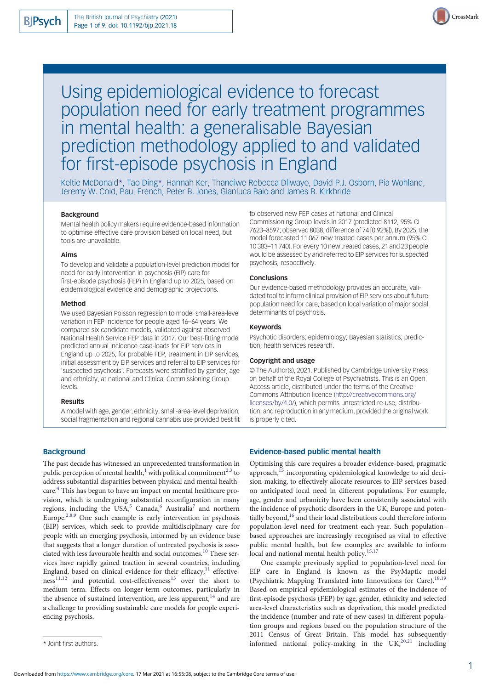

# Using epidemiological evidence to forecast population need for early treatment programmes in mental health: a generalisable Bayesian prediction methodology applied to and validated for first-episode psychosis in England

Keltie McDonald\*, Tao Ding\*, Hannah Ker, Thandiwe Rebecca Dliwayo, David P.J. Osborn, Pia Wohland, Jeremy W. Coid, Paul French, Peter B. Jones, Gianluca Baio and James B. Kirkbride

## Background

Mental health policy makers require evidence-based information to optimise effective care provision based on local need, but tools are unavailable.

#### Aims

To develop and validate a population-level prediction model for need for early intervention in psychosis (EIP) care for first-episode psychosis (FEP) in England up to 2025, based on epidemiological evidence and demographic projections.

#### Method

We used Bayesian Poisson regression to model small-area-level variation in FEP incidence for people aged 16–64 years. We compared six candidate models, validated against observed National Health Service FEP data in 2017. Our best-fitting model predicted annual incidence case-loads for EIP services in England up to 2025, for probable FEP, treatment in EIP services, initial assessment by EIP services and referral to EIP services for 'suspected psychosis'. Forecasts were stratified by gender, age and ethnicity, at national and Clinical Commissioning Group levels.

#### Results

A model with age, gender, ethnicity, small-area-level deprivation, social fragmentation and regional cannabis use provided best fit

# **Background**

The past decade has witnessed an unprecedented transformation in public perception of mental health,<sup>[1](#page-7-0)</sup> with political commitment<sup>[2,3](#page-7-0)</sup> to address substantial disparities between physical and mental healthcare.[4](#page-7-0) This has begun to have an impact on mental healthcare provision, which is undergoing substantial reconfiguration in many regions, including the USA,<sup>[5](#page-7-0)</sup> Canada,<sup>[6](#page-7-0)</sup> Australia<sup>[7](#page-7-0)</sup> and northern Europe[.2,8](#page-7-0),[9](#page-7-0) One such example is early intervention in psychosis (EIP) services, which seek to provide multidisciplinary care for people with an emerging psychosis, informed by an evidence base that suggests that a longer duration of untreated psychosis is associated with less favourable health and social outcomes.[10](#page-7-0) These services have rapidly gained traction in several countries, including England, based on clinical evidence for their efficacy, $^{11}$  $^{11}$  $^{11}$  effective- $ness<sup>11,12</sup>$  $ness<sup>11,12</sup>$  $ness<sup>11,12</sup>$  $ness<sup>11,12</sup>$  $ness<sup>11,12</sup>$  and potential cost-effectiveness<sup>[13](#page-7-0)</sup> over the short to medium term. Effects on longer-term outcomes, particularly in the absence of sustained intervention, are less apparent, $14$  and are a challenge to providing sustainable care models for people experiencing psychosis.

to observed new FEP cases at national and Clinical Commissioning Group levels in 2017 (predicted 8112, 95% CI 7623–8597; observed 8038, difference of 74 [0.92%]). By 2025, the model forecasted 11 067 new treated cases per annum (95% CI 10 383–11 740). For every 10 new treated cases, 21 and 23 people would be assessed by and referred to EIP services for suspected psychosis, respectively.

#### **Conclusions**

Our evidence-based methodology provides an accurate, validated tool to inform clinical provision of EIP services about future population need for care, based on local variation of major social determinants of psychosis.

#### Keywords

Psychotic disorders; epidemiology; Bayesian statistics; prediction; health services research.

## Copyright and usage

© The Author(s), 2021. Published by Cambridge University Press on behalf of the Royal College of Psychiatrists. This is an Open Access article, distributed under the terms of the Creative Commons Attribution licence [\(http://creativecommons.org/](http://creativecommons.org/licenses/by/4.0/) [licenses/by/4.0/](http://creativecommons.org/licenses/by/4.0/)), which permits unrestricted re-use, distribution, and reproduction in any medium, provided the original work is properly cited.

#### Evidence-based public mental health

Optimising this care requires a broader evidence-based, pragmatic approach,<sup>[15](#page-7-0)</sup> incorporating epidemiological knowledge to aid decision-making, to effectively allocate resources to EIP services based on anticipated local need in different populations. For example, age, gender and urbanicity have been consistently associated with the incidence of psychotic disorders in the UK, Europe and poten-tially beyond,<sup>[16](#page-8-0)</sup> and their local distributions could therefore inform population-level need for treatment each year. Such populationbased approaches are increasingly recognised as vital to effective public mental health, but few examples are available to inform local and national mental health policy.<sup>[15](#page-7-0)[,17](#page-8-0)</sup>

One example previously applied to population-level need for EIP care in England is known as the PsyMaptic model (Psychiatric Mapping Translated into Innovations for Care).<sup>18,19</sup> Based on empirical epidemiological estimates of the incidence of first-episode psychosis (FEP) by age, gender, ethnicity and selected area-level characteristics such as deprivation, this model predicted the incidence (number and rate of new cases) in different population groups and regions based on the population structure of the 2011 Census of Great Britain. This model has subsequently \* Joint first authors. **informed** national policy-making in the UK,<sup>[20](#page-8-0),[21](#page-8-0)</sup> including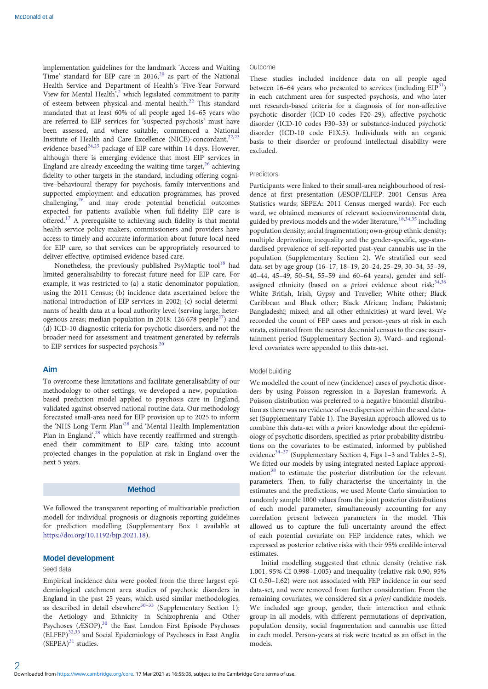implementation guidelines for the landmark 'Access and Waiting Time' standard for EIP care in  $2016$  $2016$ ,<sup>20</sup> as part of the National Health Service and Department of Health's 'Five-Year Forward View for Mental Health', [2](#page-7-0) which legislated commitment to parity of esteem between physical and mental health.<sup>[22](#page-8-0)</sup> This standard mandated that at least 60% of all people aged 14–65 years who are referred to EIP services for 'suspected psychosis' must have been assessed, and where suitable, commenced a National Institute of Health and Care Excellence (NICE)-concordant, $22,23$ evidence-based<sup>[24](#page-8-0),[25](#page-8-0)</sup> package of EIP care within 14 days. However, although there is emerging evidence that most EIP services in England are already exceeding the waiting time target, $^{26}$  achieving fidelity to other targets in the standard, including offering cognitive–behavioural therapy for psychosis, family interventions and supported employment and education programmes, has proved challenging,<sup>26</sup> and may erode potential beneficial outcomes expected for patients available when full-fidelity EIP care is offered.[17](#page-8-0) A prerequisite to achieving such fidelity is that mental health service policy makers, commissioners and providers have access to timely and accurate information about future local need for EIP care, so that services can be appropriately resourced to deliver effective, optimised evidence-based care.

Nonetheless, the previously published PsyMaptic tool<sup>18</sup> had limited generalisability to forecast future need for EIP care. For example, it was restricted to (a) a static denominator population, using the 2011 Census; (b) incidence data ascertained before the national introduction of EIP services in 2002; (c) social determinants of health data at a local authority level (serving large, heterogenous areas; median population in 2018: 126 678 people<sup>27</sup>) and (d) ICD-10 diagnostic criteria for psychotic disorders, and not the broader need for assessment and treatment generated by referrals to EIP services for suspected psychosis.<sup>[20](#page-8-0)</sup>

## Aim

To overcome these limitations and facilitate generalisability of our methodology to other settings, we developed a new, populationbased prediction model applied to psychosis care in England, validated against observed national routine data. Our methodology forecasted small-area need for EIP provision up to 2025 to inform the 'NHS Long-Term Plan' [28](#page-8-0) and 'Mental Health Implementation Plan in England',<sup>[29](#page-8-0)</sup> which have recently reaffirmed and strengthened their commitment to EIP care, taking into account projected changes in the population at risk in England over the next 5 years.

## Method

We followed the transparent reporting of multivariable prediction modell for individual prognosis or diagnosis reporting guidelines for prediction modelling (Supplementary Box 1 available at [https://doi.org/10.1192/bjp.2021.18\)](https://doi.org/10.1192/bjp.2021.18).

#### Model development

#### Seed data

2

Empirical incidence data were pooled from the three largest epidemiological catchment area studies of psychotic disorders in England in the past 25 years, which used similar methodologies, as described in detail elsewhere<sup>[30](#page-8-0)–[33](#page-8-0)</sup> (Supplementary Section 1): the Aetiology and Ethnicity in Schizophrenia and Other Psychoses (ÆSOP),<sup>[30](#page-8-0)</sup> the East London First Episode Psychoses (ELFEP)[32,33](#page-8-0) and Social Epidemiology of Psychoses in East Anglia  $(SEPEA)^{31}$  $(SEPEA)^{31}$  $(SEPEA)^{31}$  studies.

## Outcome

These studies included incidence data on all people aged between 16–64 years who presented to services (including  $EIP<sup>31</sup>$  $EIP<sup>31</sup>$  $EIP<sup>31</sup>$ ) in each catchment area for suspected psychosis, and who later met research-based criteria for a diagnosis of for non-affective psychotic disorder (ICD-10 codes F20–29), affective psychotic disorder (ICD-10 codes F30–33) or substance-induced psychotic disorder (ICD-10 code F1X.5). Individuals with an organic basis to their disorder or profound intellectual disability were excluded.

#### Predictors

Participants were linked to their small-area neighbourhood of residence at first presentation (ÆSOP/ELFEP: 2001 Census Area Statistics wards; SEPEA: 2011 Census merged wards). For each ward, we obtained measures of relevant socioenvironmental data, guided by previous models and the wider literature,  $18,34,35$  including population density; social fragmentation; own-group ethnic density; multiple deprivation; inequality and the gender-specific, age-standardised prevalence of self-reported past-year cannabis use in the population (Supplementary Section 2). We stratified our seed data-set by age group (16–17, 18–19, 20–24, 25–29, 30–34, 35–39, 40–44, 45–49, 50–54, 55–59 and 60–64 years), gender and selfassigned ethnicity (based on a priori evidence about risk:  $34,36$ White British, Irish, Gypsy and Traveller; White other; Black Caribbean and Black other; Black African; Indian; Pakistani; Bangladeshi; mixed; and all other ethnicities) at ward level. We recorded the count of FEP cases and person-years at risk in each strata, estimated from the nearest decennial census to the case ascertainment period (Supplementary Section 3). Ward- and regionallevel covariates were appended to this data-set.

#### Model building

We modelled the count of new (incidence) cases of psychotic disorders by using Poisson regression in a Bayesian framework. A Poisson distribution was preferred to a negative binomial distribution as there was no evidence of overdispersion within the seed dataset (Supplementary Table 1). The Bayesian approach allowed us to combine this data-set with a priori knowledge about the epidemiology of psychotic disorders, specified as prior probability distributions on the covariates to be estimated, informed by published evidence<sup>[34](#page-8-0)–[37](#page-8-0)</sup> (Supplementary Section 4, Figs 1–3 and Tables 2–5). We fitted our models by using integrated nested Laplace approxi-mation<sup>[38](#page-8-0)</sup> to estimate the posterior distribution for the relevant parameters. Then, to fully characterise the uncertainty in the estimates and the predictions, we used Monte Carlo simulation to randomly sample 1000 values from the joint posterior distributions of each model parameter, simultaneously accounting for any correlation present between parameters in the model. This allowed us to capture the full uncertainty around the effect of each potential covariate on FEP incidence rates, which we expressed as posterior relative risks with their 95% credible interval estimates.

Initial modelling suggested that ethnic density (relative risk 1.001, 95% CI 0.998–1.005) and inequality (relative risk 0.90, 95% CI 0.50–1.62) were not associated with FEP incidence in our seed data-set, and were removed from further consideration. From the remaining covariates, we considered six a priori candidate models. We included age group, gender, their interaction and ethnic group in all models, with different permutations of deprivation, population density, social fragmentation and cannabis use fitted in each model. Person-years at risk were treated as an offset in the models.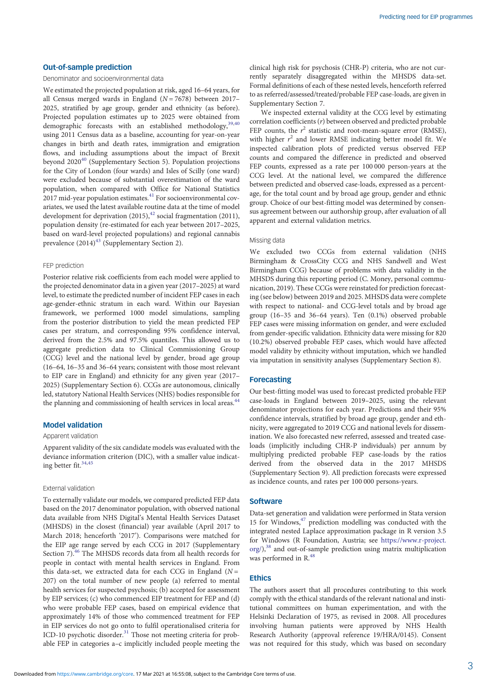## Out-of-sample prediction

#### Denominator and socioenvironmental data

We estimated the projected population at risk, aged 16–64 years, for all Census merged wards in England ( $N = 7678$ ) between 2017– 2025, stratified by age group, gender and ethnicity (as before). Projected population estimates up to 2025 were obtained from demographic forecasts with an established methodology, 39,40 using 2011 Census data as a baseline, accounting for year-on-year changes in birth and death rates, immigration and emigration flows, and including assumptions about the impact of Brexit beyond 2020<sup>40</sup> (Supplementary Section 5). Population projections for the City of London (four wards) and Isles of Scilly (one ward) were excluded because of substantial overestimation of the ward population, when compared with Office for National Statistics  $2017$  mid-year population estimates. $41$  For socioenvironmental covariates, we used the latest available routine data at the time of model development for deprivation  $(2015)^{42}$  $(2015)^{42}$  $(2015)^{42}$  social fragmentation  $(2011)$ , population density (re-estimated for each year between 2017–2025, based on ward-level projected populations) and regional cannabis prevalence  $(2014)^{43}$  $(2014)^{43}$  $(2014)^{43}$  (Supplementary Section 2).

## FEP prediction

Posterior relative risk coefficients from each model were applied to the projected denominator data in a given year (2017–2025) at ward level, to estimate the predicted number of incident FEP cases in each age-gender-ethnic stratum in each ward. Within our Bayesian framework, we performed 1000 model simulations, sampling from the posterior distribution to yield the mean predicted FEP cases per stratum, and corresponding 95% confidence interval, derived from the 2.5% and 97.5% quantiles. This allowed us to aggregate prediction data to Clinical Commissioning Group (CCG) level and the national level by gender, broad age group (16–64, 16–35 and 36–64 years; consistent with those most relevant to EIP care in England) and ethnicity for any given year (2017– 2025) (Supplementary Section 6). CCGs are autonomous, clinically led, statutory National Health Services (NHS) bodies responsible for the planning and commissioning of health services in local areas.<sup>44</sup>

## Model validation

## Apparent validation

Apparent validity of the six candidate models was evaluated with the deviance information criterion (DIC), with a smaller value indicating better fit.<sup>34,45</sup>

#### External validation

To externally validate our models, we compared predicted FEP data based on the 2017 denominator population, with observed national data available from NHS Digital's Mental Health Services Dataset (MHSDS) in the closest (financial) year available (April 2017 to March 2018; henceforth '2017'). Comparisons were matched for the EIP age range served by each CCG in 2017 (Supplementary Section 7).<sup>[46](#page-8-0)</sup> The MHSDS records data from all health records for people in contact with mental health services in England. From this data-set, we extracted data for each CCG in England ( $N =$ 207) on the total number of new people (a) referred to mental health services for suspected psychosis; (b) accepted for assessment by EIP services; (c) who commenced EIP treatment for FEP and (d) who were probable FEP cases, based on empirical evidence that approximately 14% of those who commenced treatment for FEP in EIP services do not go onto to fulfil operationalised criteria for ICD-10 psychotic disorder.<sup>[31](#page-8-0)</sup> Those not meeting criteria for probable FEP in categories a–c implicitly included people meeting the

clinical high risk for psychosis (CHR-P) criteria, who are not currently separately disaggregated within the MHSDS data-set. Formal definitions of each of these nested levels, henceforth referred to as referred/assessed/treated/probable FEP case-loads, are given in Supplementary Section 7.

We inspected external validity at the CCG level by estimating correlation coefficients (r) between observed and predicted probable FEP counts, the  $r^2$  statistic and root-mean-square error (RMSE), with higher  $r^2$  and lower RMSE indicating better model fit. We inspected calibration plots of predicted versus observed FEP counts and compared the difference in predicted and observed FEP counts, expressed as a rate per 100 000 person-years at the CCG level. At the national level, we compared the difference between predicted and observed case-loads, expressed as a percentage, for the total count and by broad age group, gender and ethnic group. Choice of our best-fitting model was determined by consensus agreement between our authorship group, after evaluation of all apparent and external validation metrics.

#### Missing data

We excluded two CCGs from external validation (NHS Birmingham & CrossCity CCG and NHS Sandwell and West Birmingham CCG) because of problems with data validity in the MHSDS during this reporting period (C. Money, personal communication, 2019). These CCGs were reinstated for prediction forecasting (see below) between 2019 and 2025. MHSDS data were complete with respect to national- and CCG-level totals and by broad age group (16–35 and 36–64 years). Ten (0.1%) observed probable FEP cases were missing information on gender, and were excluded from gender-specific validation. Ethnicity data were missing for 820 (10.2%) observed probable FEP cases, which would have affected model validity by ethnicity without imputation, which we handled via imputation in sensitivity analyses (Supplementary Section 8).

## Forecasting

Our best-fitting model was used to forecast predicted probable FEP case-loads in England between 2019–2025, using the relevant denominator projections for each year. Predictions and their 95% confidence intervals, stratified by broad age group, gender and ethnicity, were aggregated to 2019 CCG and national levels for dissemination. We also forecasted new referred, assessed and treated caseloads (implicitly including CHR-P individuals) per annum by multiplying predicted probable FEP case-loads by the ratios derived from the observed data in the 2017 MHSDS (Supplementary Section 9). All prediction forecasts were expressed as incidence counts, and rates per 100 000 persons-years.

## **Software**

Data-set generation and validation were performed in Stata version 15 for Windows, $47$  prediction modelling was conducted with the integrated nested Laplace approximation package in R version 3.5 for Windows (R Foundation, Austria; see [https://www.r-project.](https://www.r-project.org/) [org/](https://www.r-project.org/)),<sup>38</sup> and out-of-sample prediction using matrix multiplication was performed in R.<sup>[48](#page-8-0)</sup>

## Ethics

The authors assert that all procedures contributing to this work comply with the ethical standards of the relevant national and institutional committees on human experimentation, and with the Helsinki Declaration of 1975, as revised in 2008. All procedures involving human patients were approved by NHS Health Research Authority (approval reference 19/HRA/0145). Consent was not required for this study, which was based on secondary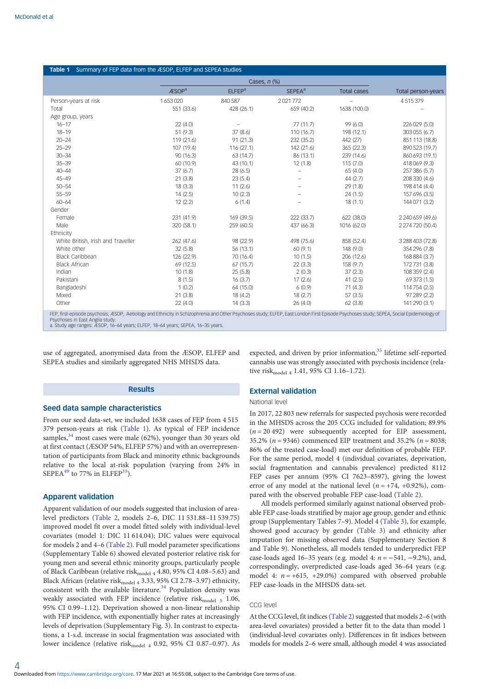<span id="page-3-0"></span>

| Table 1 Summary of FEP data from the ÆSOP, ELFEP and SEPEA studies                                                                                                                     |                   |                          |                          |                    |                    |  |  |  |
|----------------------------------------------------------------------------------------------------------------------------------------------------------------------------------------|-------------------|--------------------------|--------------------------|--------------------|--------------------|--|--|--|
|                                                                                                                                                                                        |                   |                          |                          |                    |                    |  |  |  |
|                                                                                                                                                                                        | ÆSOP <sup>a</sup> | <b>ELFEP<sup>a</sup></b> | <b>SEPEA<sup>a</sup></b> | <b>Total cases</b> | Total person-years |  |  |  |
| Person-years at risk                                                                                                                                                                   | 1653020           | 840 587                  | 2021772                  |                    | 4515379            |  |  |  |
| Total                                                                                                                                                                                  | 551 (33.6)        | 428 (26.1)               | 659 (40.2)               | 1638 (100.0)       |                    |  |  |  |
| Age group, years                                                                                                                                                                       |                   |                          |                          |                    |                    |  |  |  |
| $16 - 17$                                                                                                                                                                              | 22(4.0)           |                          | 77 (11.7)                | 99 (6.0)           | 226 029 (5.0)      |  |  |  |
| $18 - 19$                                                                                                                                                                              | 51 (9.3)          | 37(8.6)                  | 110 (16.7)               | 198 (12.1)         | 303 055 (6.7)      |  |  |  |
| $20 - 24$                                                                                                                                                                              | 119 (21.6)        | 91 (21.3)                | 232 (35.2)               | 442 (27)           | 851 113 (18.8)     |  |  |  |
| $25 - 29$                                                                                                                                                                              | 107 (19.4)        | 116(27.1)                | 142 (21.6)               | 365 (22.3)         | 890 523 (19.7)     |  |  |  |
| $30 - 34$                                                                                                                                                                              | 90 (16.3)         | 63 (14.7)                | 86 (13.1)                | 239 (14.6)         | 860 693 (19.1)     |  |  |  |
| $35 - 39$                                                                                                                                                                              | 60 (10.9)         | 43 (10.1)                | 12(1.8)                  | 115(7.0)           | 418 069 (9.3)      |  |  |  |
| $40 - 44$                                                                                                                                                                              | 37(6.7)           | 28 (6.5)                 |                          | 65(4.0)            | 257 386 (5.7)      |  |  |  |
| $45 - 49$                                                                                                                                                                              | 21(3.8)           | 23(5.4)                  |                          | 44(2.7)            | 208 330 (4.6)      |  |  |  |
| $50 - 54$                                                                                                                                                                              | 18(3.3)           | 11(2.6)                  |                          | 29(1.8)            | 198 414 (4.4)      |  |  |  |
| $55 - 59$                                                                                                                                                                              | 14(2.5)           | 10(2.3)                  |                          | 24(1.5)            | 157 696 (3.5)      |  |  |  |
| $60 - 64$                                                                                                                                                                              | 12(2.2)           | 6(1.4)                   |                          | 18(1.1)            | 144 071 (3.2)      |  |  |  |
| Gender                                                                                                                                                                                 |                   |                          |                          |                    |                    |  |  |  |
| Female                                                                                                                                                                                 | 231 (41.9)        | 169 (39.5)               | 222 (33.7)               | 622 (38.0)         | 2 240 659 (49.6)   |  |  |  |
| Male                                                                                                                                                                                   | 320 (58.1)        | 259 (60.5)               | 437 (66.3)               | 1016 (62.0)        | 2 274 720 (50.4)   |  |  |  |
| Ethnicity                                                                                                                                                                              |                   |                          |                          |                    |                    |  |  |  |
| White British, Irish and Traveller                                                                                                                                                     | 262 (47.6)        | 98 (22.9)                | 498 (75.6)               | 858 (52.4)         | 3 288 403 (72.8)   |  |  |  |
| White other                                                                                                                                                                            | 32(5.8)           | 56 (13.1)                | 60(9.1)                  | 148 (9.0)          | 354 296 (7.8)      |  |  |  |
| <b>Black Caribbean</b>                                                                                                                                                                 | 126 (22.9)        | 70 (16.4)                | 10(1.5)                  | 206 (12.6)         | 168 884 (3.7)      |  |  |  |
| <b>Black African</b>                                                                                                                                                                   | 69 (12.5)         | 67(15.7)                 | 22(3.3)                  | 158 (9.7)          | 172731 (3.8)       |  |  |  |
| Indian                                                                                                                                                                                 | 10(1.8)           | 25(5.8)                  | 2(0.3)                   | 37(2.3)            | 108 359 (2.4)      |  |  |  |
| Pakistani                                                                                                                                                                              | 8(1.5)            | 16(3.7)                  | 17(2.6)                  | 41(2.5)            | 69 373 (1.5)       |  |  |  |
| Bangladeshi                                                                                                                                                                            | 1(0.2)            | 64 (15.0)                | 6(0.9)                   | 71(4.3)            | 114 754 (2.5)      |  |  |  |
| Mixed                                                                                                                                                                                  | 21(3.8)           | 18 (4.2)                 | 18(2.7)                  | 57(3.5)            | 97 289 (2.2)       |  |  |  |
| Other                                                                                                                                                                                  | 22(4.0)           | 14(3.3)                  | 26(4.0)                  | 62(3.8)            | 141 290 (3.1)      |  |  |  |
| EED first opisode psychosis: ÆSOD, Aetiology and Ethnicity in Schizophropia and Other Developeds study: ELEED East London Eirst Enjsode Developeds tudy: SEDEA, Social Enjdemiology of |                   |                          |                          |                    |                    |  |  |  |

FEP, first-episode psychosis; ÆSOP, Aetiology and Ethnicity in Schizophrenia and Other Psychoses study; ELFEP, East London First Episode Psychoses study; SEPEA, Social Epidemiology of Psychoses in East Anglia study.

use of aggregated, anonymised data from the ÆSOP, ELFEP and SEPEA studies and similarly aggregated NHS MHSDS data.

# **Results**

## Seed data sample characteristics

From our seed data-set, we included 1638 cases of FEP from 4 515 379 person-years at risk (Table 1). As typical of FEP incidence samples, $34$  most cases were male (62%), younger than 30 years old at first contact (ÆSOP 54%, ELFEP 57%) and with an overrepresentation of participants from Black and minority ethnic backgrounds relative to the local at-risk population (varying from 24% in SEPEA<sup>49</sup> to 77% in ELFEP<sup>33</sup>).

#### Apparent validation

Apparent validation of our models suggested that inclusion of arealevel predictors [\(Table 2,](#page-4-0) models 2–6, DIC 11 531.88–11 539.75) improved model fit over a model fitted solely with individual-level covariates (model 1: DIC 11 614.04); DIC values were equivocal for models 2 and 4–6 [\(Table 2\)](#page-4-0). Full model parameter specifications (Supplementary Table 6) showed elevated posterior relative risk for young men and several ethnic minority groups, particularly people of Black Caribbean (relative riskmodel 4 4.80, 95% CI 4.08–5.63) and Black African (relative risk $_{\rm model\ 4}$  3.33, 95% CI 2.78–3.97) ethnicity, consistent with the available literature. $34$  Population density was weakly associated with FEP incidence (relative risk<sub>model 5</sub> 1.06, 95% CI 0.99–1.12). Deprivation showed a non-linear relationship with FEP incidence, with exponentially higher rates at increasingly levels of deprivation (Supplementary Fig. 3). In contrast to expectations, a 1-s.d. increase in social fragmentation was associated with lower incidence (relative risk<sub>model 4</sub> 0.92, 95% CI 0.87-0.97). As expected, and driven by prior information,<sup>[35](#page-8-0)</sup> lifetime self-reported cannabis use was strongly associated with psychosis incidence (relative risk<sub>model 4</sub> 1.41, 95% CI 1.16-1.72).

# External validation

#### National level

In 2017, 22 803 new referrals for suspected psychosis were recorded in the MHSDS across the 205 CCG included for validation; 89.9%  $(n = 20 492)$  were subsequently accepted for EIP assessment, 35.2% ( $n = 9346$ ) commenced EIP treatment and 35.2% ( $n = 8038$ ; 86% of the treated case-load) met our definition of probable FEP. For the same period, model 4 (individual covariates, deprivation, social fragmentation and cannabis prevalence) predicted 8112 FEP cases per annum (95% CI 7623–8597), giving the lowest error of any model at the national level  $(n = +74, +0.92\%)$ , compared with the observed probable FEP case-load [\(Table 2\)](#page-4-0).

All models performed similarly against national observed probable FEP case-loads stratified by major age group, gender and ethnic group (Supplementary Tables 7–9). Model 4 [\(Table 3](#page-5-0)), for example, showed good accuracy by gender ([Table 3](#page-5-0)) and ethnicity after imputation for missing observed data (Supplementary Section 8 and Table 9). Nonetheless, all models tended to underpredict FEP case-loads aged 16–35 years (e.g. model 4:  $n = -541, -9.2%$ ), and, correspondingly, overpredicted case-loads aged 36–64 years (e.g. model 4:  $n = +615, +29.0\%$  compared with observed probable FEP case-loads in the MHSDS data-set.

# CCG level

At the CCG level, fit indices [\(Table 2](#page-4-0)) suggested that models 2–6 (with area-level covariates) provided a better fit to the data than model 1 (individual-level covariates only). Differences in fit indices between models for models 2–6 were small, although model 4 was associated

a. Study age ranges: ÆSOP, 16–64 years; ELFEP, 18–64 years; SEPEA, 16–35 years.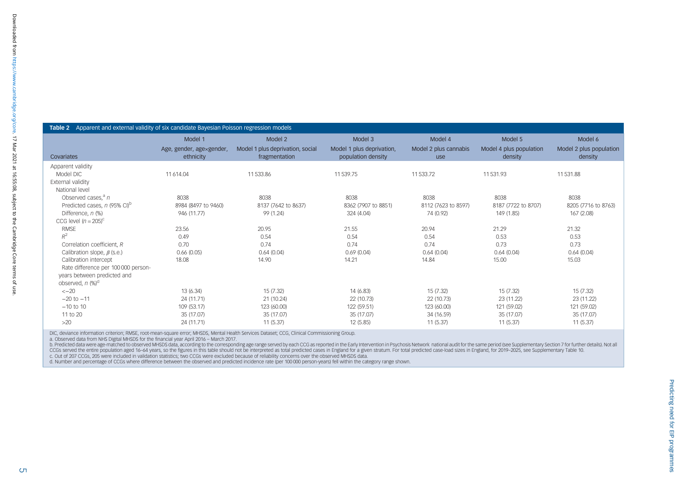<span id="page-4-0"></span>

|                                          | Model 1                               | Model 2                                           | Model 3                                         | Model 4                      | Model 5                            | Model 6                           |  |
|------------------------------------------|---------------------------------------|---------------------------------------------------|-------------------------------------------------|------------------------------|------------------------------------|-----------------------------------|--|
| Covariates                               | Age, gender, age×gender,<br>ethnicity | Model 1 plus deprivation, social<br>fragmentation | Model 1 plus deprivation,<br>population density | Model 2 plus cannabis<br>use | Model 4 plus population<br>density | Model 2 plus populatio<br>density |  |
| Apparent validity                        |                                       |                                                   |                                                 |                              |                                    |                                   |  |
| Model DIC                                | 11 614.04                             | 11 533.86                                         | 11 539.75                                       | 11 533.72                    | 11531.93                           | 11531.88                          |  |
| External validity                        |                                       |                                                   |                                                 |                              |                                    |                                   |  |
| National level                           |                                       |                                                   |                                                 |                              |                                    |                                   |  |
| Observed cases, $a_n$                    | 8038                                  | 8038                                              | 8038                                            | 8038                         | 8038                               | 8038                              |  |
| Predicted cases, n (95% CI) <sup>b</sup> | 8984 (8497 to 9460)                   | 8137 (7642 to 8637)                               | 8362 (7907 to 8851)                             | 8112 (7623 to 8597)          | 8187 (7722 to 8707)                | 8205 (7716 to 8763)               |  |
| Difference, n (%)                        | 946 (11.77)                           | 99 (1.24)                                         | 324 (4.04)                                      | 74 (0.92)                    | 149 (1.85)                         | 167 (2.08)                        |  |
| CCG level $(n = 205)^c$                  |                                       |                                                   |                                                 |                              |                                    |                                   |  |
| <b>RMSE</b>                              | 23.56                                 | 20.95                                             | 21.55                                           | 20.94                        | 21.29                              | 21.32                             |  |
| $R^2$                                    | 0.49                                  | 0.54                                              | 0.54                                            | 0.54                         | 0.53                               | 0.53                              |  |
| Correlation coefficient, R               | 0.70                                  | 0.74                                              | 0.74                                            | 0.74                         | 0.73                               | 0.73                              |  |
| Calibration slope, $\beta$ (s.e.)        | 0.66(0.05)                            | 0.64(0.04)                                        | 0.69(0.04)                                      | 0.64(0.04)                   | 0.64(0.04)                         | 0.64(0.04)                        |  |
| Calibration intercept                    | 18.08                                 | 14.90                                             | 14.21                                           | 14.84                        | 15.00                              | 15.03                             |  |
| Rate difference per 100 000 person-      |                                       |                                                   |                                                 |                              |                                    |                                   |  |
| years between predicted and              |                                       |                                                   |                                                 |                              |                                    |                                   |  |
| observed, n (%) <sup>d</sup>             |                                       |                                                   |                                                 |                              |                                    |                                   |  |
| $<-20$                                   | 13 (6.34)                             | 15(7.32)                                          | 14 (6.83)                                       | 15(7.32)                     | 15 (7.32)                          | 15(7.32)                          |  |
| $-20$ to $-11$                           | 24 (11.71)                            | 21 (10.24)                                        | 22 (10.73)                                      | 22 (10.73)                   | 23 (11.22)                         | 23 (11.22)                        |  |
| $-10$ to 10                              | 109 (53.17)                           | 123 (60.00)                                       | 122 (59.51)                                     | 123 (60.00)                  | 121 (59.02)                        | 121 (59.02)                       |  |
| 11 to 20                                 | 35 (17.07)                            | 35 (17.07)                                        | 35 (17.07)                                      | 34 (16.59)                   | 35 (17.07)                         | 35 (17.07)                        |  |
| $>20$                                    | 24 (11.71)                            | 11(5.37)                                          | 12 (5.85)                                       | 11(5.37)                     | 11(5.37)                           | 11(5.37)                          |  |

DIC, deviance information criterion; RMSE, root-mean-square error; MHSDS, Mental Health Services Dataset; CCG, Clinical Commissioning Group.

a. Observed data from NHS Digital MHSDS for the financial year April 2016 – March 2017.

b. Predicted data were age-matched to observed MHSDS data, according to the corresponding age range served by each CCG as reported in the Early Intervention in Psychosis Network national audit for the same period (see Sup

Model 2 plus population density

c. Out of 207 CCGs, 205 were included in validation statistics; two CCGs were excluded because of reliability concerns over the observed MHSDS data.<br>d. Number and percentage of CCGs where difference between the observed an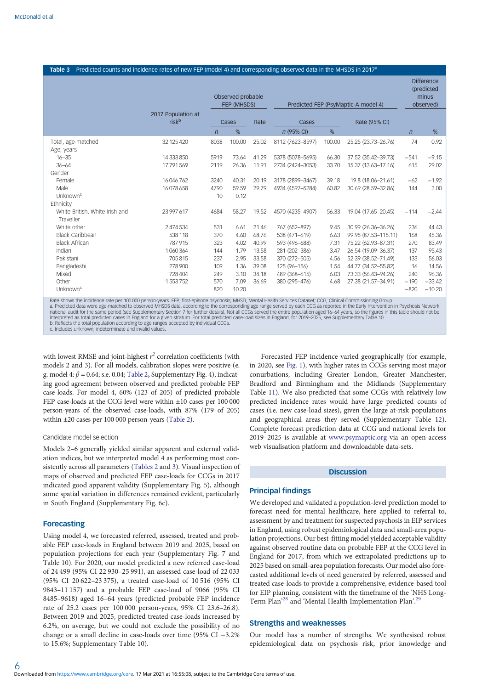# <span id="page-5-0"></span>Table 3 Predicted counts and incidence rates of new FEP (model 4) and corresponding observed data in the MHSDS in 2017<sup>a</sup>

|                                             |                                         | Observed probable<br>FEP (MHSDS) |        | Predicted FEP (PsyMaptic-A model 4) |                  |        | <b>Difference</b><br>(predicted<br>minus<br>observed) |                |          |
|---------------------------------------------|-----------------------------------------|----------------------------------|--------|-------------------------------------|------------------|--------|-------------------------------------------------------|----------------|----------|
|                                             | 2017 Population at<br>risk <sup>b</sup> |                                  | Cases  | Rate                                | Cases            |        | Rate (95% CI)                                         |                |          |
|                                             |                                         | $\overline{n}$                   | %      |                                     | n (95% CI)       | %      |                                                       | $\overline{n}$ | %        |
| Total, age-matched<br>Age, years            | 32 125 420                              | 8038                             | 100.00 | 25.02                               | 8112 (7623-8597) | 100.00 | 25.25 (23.73-26.76)                                   | 74             | 0.92     |
| $16 - 35$                                   | 14 333 850                              | 5919                             | 73.64  | 41.29                               | 5378 (5078-5695) | 66.30  | 37.52 (35.42-39.73)                                   | $-541$         | $-9.15$  |
| $36 - 64$                                   | 17791569                                | 2119                             | 26.36  | 11.91                               | 2734 (2424-3053) | 33.70  | 15.37 (13.63-17.16)                                   | 615            | 29.02    |
| Gender                                      |                                         |                                  |        |                                     |                  |        |                                                       |                |          |
| Female                                      | 16 046 762                              | 3240                             | 40.31  | 20.19                               | 3178 (2899-3467) | 39.18  | 19.8 (18.06-21.61)                                    | $-62$          | $-1.92$  |
| Male                                        | 16078658                                | 4790                             | 59.59  | 29.79                               | 4934 (4597-5284) | 60.82  | 30.69 (28.59-32.86)                                   | 144            | 3.00     |
| Unknown <sup>c</sup>                        |                                         | 10                               | 0.12   |                                     |                  |        |                                                       |                |          |
| Ethnicity                                   |                                         |                                  |        |                                     |                  |        |                                                       |                |          |
| White British, White Irish and<br>Traveller | 23 997 617                              | 4684                             | 58.27  | 19.52                               | 4570 (4235-4907) | 56.33  | 19.04 (17.65-20.45)                                   | $-114$         | $-2.44$  |
| White other                                 | 2 474 534                               | 531                              | 6.61   | 21.46                               | 767 (652-897)    | 9.45   | 30.99 (26.36-36.26)                                   | 236            | 44.43    |
| <b>Black Caribbean</b>                      | 538 118                                 | 370                              | 4.60   | 68.76                               | 538 (471-619)    | 6.63   | 99.95 (87.53-115.11)                                  | 168            | 45.36    |
| <b>Black African</b>                        | 787 915                                 | 323                              | 4.02   | 40.99                               | 593 (496-688)    | 7.31   | 75.22 (62.93-87.31)                                   | 270            | 83.49    |
| Indian                                      | 1060364                                 | 144                              | 1.79   | 13.58                               | 281 (202-386)    | 3.47   | 26.54 (19.09-36.37)                                   | 137            | 95.43    |
| Pakistani                                   | 705815                                  | 237                              | 2.95   | 33.58                               | 370 (272-505)    | 4.56   | 52.39 (38.52-71.49)                                   | 133            | 56.03    |
| Bangladeshi                                 | 278 900                                 | 109                              | 1.36   | 39.08                               | 125 (96-156)     | 1.54   | 44.77 (34.52-55.82)                                   | 16             | 14.56    |
| Mixed                                       | 728 404                                 | 249                              | 3.10   | 34.18                               | 489 (368-615)    | 6.03   | 73.33 (56.43-94.26)                                   | 240            | 96.36    |
| Other                                       | 1553752                                 | 570                              | 7.09   | 36.69                               | 380 (295-476)    | 4.68   | 27.38 (21.57-34.91)                                   | $-190$         | $-33.42$ |
| Unknown <sup>c</sup>                        |                                         | 820                              | 10.20  |                                     |                  |        |                                                       | $-820$         | $-10.20$ |

Rate shows the incidence rate per 100 000 person-years. FEP, first-episode psychosis; MHSD, Mental Health Services Dataset; CCG, Clinical Commissioning Group.<br>a. Predicted data were age-matched to observed MHSDS data, acco interpreted as total predicted cases in England for a given stratum. For total predicted case-load sizes in England, for 2019–2025, see Supplementary Table 10.<br>b. Reflects the total population according to age ranges accep

with lowest RMSE and joint-highest  $r^2$  correlation coefficients (with models 2 and 3). For all models, calibration slopes were positive (e. g. model 4:  $\beta$  = 0.64; s.e. 0.04; [Table 2](#page-4-0), Supplementary Fig. 4), indicating good agreement between observed and predicted probable FEP case-loads. For model 4, 60% (123 of 205) of predicted probable FEP case-loads at the CCG level were within ±10 cases per 100 000 person-years of the observed case-loads, with 87% (179 of 205) within ±20 cases per 100 000 person-years [\(Table 2\)](#page-4-0).

#### Candidate model selection

Models 2–6 generally yielded similar apparent and external validation indices, but we interpreted model 4 as performing most consistently across all parameters [\(Tables 2](#page-4-0) and 3). Visual inspection of maps of observed and predicted FEP case-loads for CCGs in 2017 indicated good apparent validity (Supplementary Fig. 5), although some spatial variation in differences remained evident, particularly in South England (Supplementary Fig. 6c).

## Forecasting

Using model 4, we forecasted referred, assessed, treated and probable FEP case-loads in England between 2019 and 2025, based on population projections for each year (Supplementary Fig. 7 and Table 10). For 2020, our model predicted a new referred case-load of 24 499 (95% CI 22 930–25 991), an assessed case-load of 22 033 (95% CI 20 622–23 375), a treated case-load of 10 516 (95% CI 9843–11 157) and a probable FEP case-load of 9066 (95% CI 8485–9618) aged 16–64 years (predicted probable FEP incidence rate of 25.2 cases per 100 000 person-years, 95% CI 23.6–26.8). Between 2019 and 2025, predicted treated case-loads increased by 6.2%, on average, but we could not exclude the possibility of no change or a small decline in case-loads over time (95% CI −3.2% to 15.6%; Supplementary Table 10).

Forecasted FEP incidence varied geographically (for example, in 2020, see [Fig. 1](#page-6-0)), with higher rates in CCGs serving most major conurbations, including Greater London, Greater Manchester, Bradford and Birmingham and the Midlands (Supplementary Table 1[1](#page-3-0)). We also predicted that some CCGs with relatively low predicted incidence rates would have large predicted counts of cases (i.e. new case-load sizes), given the large at-risk populations and geographical areas they served (Supplementary Table [12](#page-4-0)). Complete forecast prediction data at CCG and national levels for 2019–2025 is available at [www.psymaptic.org](https://www.psymaptic.org) via an open-access web visualisation platform and downloadable data-sets.

## **Discussion**

#### Principal findings

We developed and validated a population-level prediction model to forecast need for mental healthcare, here applied to referral to, assessment by and treatment for suspected psychosis in EIP services in England, using robust epidemiological data and small-area population projections. Our best-fitting model yielded acceptable validity against observed routine data on probable FEP at the CCG level in England for 2017, from which we extrapolated predictions up to 2025 based on small-area population forecasts. Our model also forecasted additional levels of need generated by referred, assessed and treated case-loads to provide a comprehensive, evidence-based tool for EIP planning, consistent with the timeframe of the 'NHS Long-Term Plan<sup>[28](#page-8-0)</sup> and 'Mental Health Implementation Plan<sup>2[29](#page-8-0)</sup>

## Strengths and weaknesses

Our model has a number of strengths. We synthesised robust epidemiological data on psychosis risk, prior knowledge and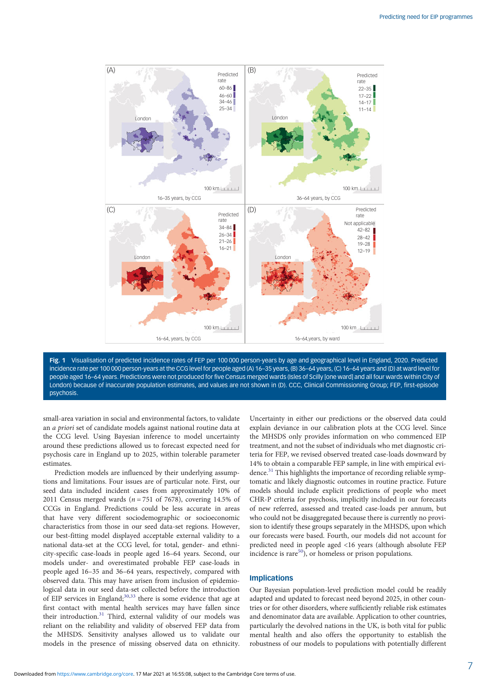<span id="page-6-0"></span>

Fig. 1 Visualisation of predicted incidence rates of FEP per 100 000 person-years by age and geographical level in England, 2020. Predicted incidence rate per 100 000 person-years at the CCG level for people aged (A) 16–35 years, (B) 36–64 years, (C) 16–64 years and (D) at ward level for people aged 16–64 years. Predictions were not produced for five Census merged wards (Isles of Scilly [one ward] and all four wards within City of London) because of inaccurate population estimates, and values are not shown in (D). CCC, Clinical Commissioning Group; FEP, first-episode psychosis.

small-area variation in social and environmental factors, to validate an a priori set of candidate models against national routine data at the CCG level. Using Bayesian inference to model uncertainty around these predictions allowed us to forecast expected need for psychosis care in England up to 2025, within tolerable parameter estimates.

Prediction models are influenced by their underlying assumptions and limitations. Four issues are of particular note. First, our seed data included incident cases from approximately 10% of 2011 Census merged wards ( $n = 751$  of 7678), covering 14.5% of CCGs in England. Predictions could be less accurate in areas that have very different sociodemographic or socioeconomic characteristics from those in our seed data-set regions. However, our best-fitting model displayed acceptable external validity to a national data-set at the CCG level, for total, gender- and ethnicity-specific case-loads in people aged 16–64 years. Second, our models under- and overestimated probable FEP case-loads in people aged 16–35 and 36–64 years, respectively, compared with observed data. This may have arisen from inclusion of epidemiological data in our seed data-set collected before the introduction of EIP services in England; $30,33$  there is some evidence that age at first contact with mental health services may have fallen since their introduction.<sup>[31](#page-8-0)</sup> Third, external validity of our models was reliant on the reliability and validity of observed FEP data from the MHSDS. Sensitivity analyses allowed us to validate our models in the presence of missing observed data on ethnicity.

Uncertainty in either our predictions or the observed data could explain deviance in our calibration plots at the CCG level. Since the MHSDS only provides information on who commenced EIP treatment, and not the subset of individuals who met diagnostic criteria for FEP, we revised observed treated case-loads downward by 14% to obtain a comparable FEP sample, in line with empirical evi-dence.<sup>[31](#page-8-0)</sup> This highlights the importance of recording reliable symptomatic and likely diagnostic outcomes in routine practice. Future models should include explicit predictions of people who meet CHR-P criteria for psychosis, implicitly included in our forecasts of new referred, assessed and treated case-loads per annum, but who could not be disaggregated because there is currently no provision to identify these groups separately in the MHSDS, upon which our forecasts were based. Fourth, our models did not account for predicted need in people aged <16 years (although absolute FEP incidence is rare<sup>50</sup>), or homeless or prison populations.

## Implications

Our Bayesian population-level prediction model could be readily adapted and updated to forecast need beyond 2025, in other countries or for other disorders, where sufficiently reliable risk estimates and denominator data are available. Application to other countries, particularly the devolved nations in the UK, is both vital for public mental health and also offers the opportunity to establish the robustness of our models to populations with potentially different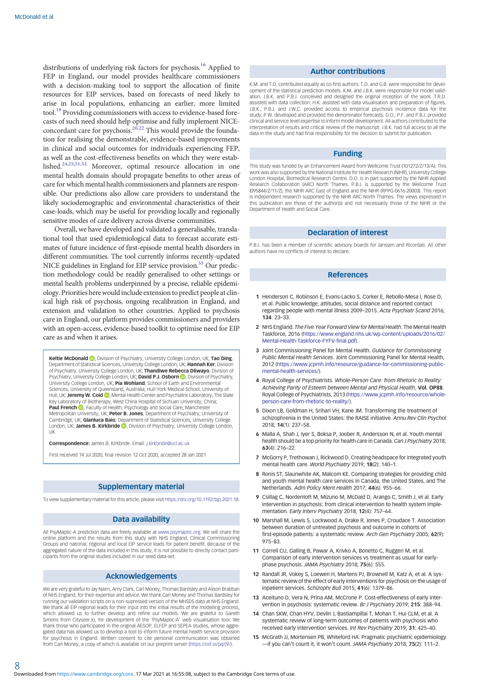<span id="page-7-0"></span>distributions of underlying risk factors for psychosis.<sup>[16](#page-8-0)</sup> Applied to FEP in England, our model provides healthcare commissioners with a decision-making tool to support the allocation of finite resources for EIP services, based on forecasts of need likely to arise in local populations, enhancing an earlier, more limited tool.<sup>[18](#page-8-0)</sup> Providing commissioners with access to evidence-based forecasts of such need should help optimise and fully implement NICE-concordant care for psychosis.<sup>[20,22](#page-8-0)</sup> This would provide the foundation for realising the demonstrable, evidence-based improvements in clinical and social outcomes for individuals experiencing FEP, as well as the cost-effectiveness benefits on which they were established.[24](#page-8-0),[25,51,52](#page-8-0) Moreover, optimal resource allocation in one mental health domain should propagate benefits to other areas of care for which mental health commissioners and planners are responsible. Our predictions also allow care providers to understand the likely sociodemographic and environmental characteristics of their case-loads, which may be useful for providing locally and regionally sensitive modes of care delivery across diverse communities.

Overall, we have developed and validated a generalisable, translational tool that used epidemiological data to forecast accurate estimates of future incidence of first-episode mental health disorders in different communities. The tool currently informs recently-updated NICE guidelines in England for EIP service provision.<sup>53</sup> Our prediction methodology could be readily generalised to other settings or mental health problems underpinned by a precise, reliable epidemiology. Priorities here would include extension to predict people at clinical high risk of psychosis, ongoing recalibration in England, and extension and validation to other countries. Applied to psychosis care in England, our platform provides commissioners and providers with an open-access, evidence-based toolkit to optimise need for EIP care as and when it arises.

Keltie McDonald (D)[,](https://orcid.org/0000-0002-0204-9049) Division of Psychiatry, University College London, UK; Tao Ding, Department of Statistical Sciences, University College London, UK; Hannah Ker, Division of Psychiatry, University College London, UK; Thandiwe Rebecca Dliwayo, Division of Psychiatry, University College London, UK; David P.J. Osborn (D), Division of Psychiatry, University College London, UK; Pia Wohland, School of Earth and Environmental Sciences, University of Queensland, Australia; Hull-York Medical School, University of Hull[,](https://orcid.org/0000-0002-9480-0257) UK; Jeremy W. Coid . Mental Health Center and Psychiatric Laboratory, The State Key Laboratory of Biotherapy, West China Hospital of Sichuan University, China; **Paul French (D)**[,](https://orcid.org/0000-0003-4300-387X) Faculty of Health, Psychology and Social Care, Manchester Metropolitan University, UK; Peter B. Jones, Department of Psychiatry, University of Cambridge, UK; Gianluca Baio, Department of Statistical Sciences, University College London, UK; James B. Kirkbride **D**. Division of Psychiatry, University College London, UK

Correspondence: James B. Kirkbride. Email: [j.kirkbride@ucl.ac.uk](mailto:j.kirkbride@ucl.ac.uk)

First received 14 Jul 2020, final revision 12 Oct 2020, accepted 28 Jan 2021

# Supplementary material

To view supplementary material for this article, please visit <https://doi.org/10.1192/bjp.2021.18>.

#### Data availability

All PsyMaptic-A prediction data are freely available at [www.psymaptic.org](https://www.psymaptic.org). We will share the online platform and the results from this study with NHS England, Clinical Commissioning Groups and national, regional and local EIP service leads for patient benefit. Because of the aggregated nature of the data included in this study, it is not possible to directly contact participants from the original studies included in our seed data-set.

# Acknowledgements

We are very grateful to Jay Nairn, Amy Clark, Carl Money, Thomas Bardsley and Alison Brabban of NHS England, for their expertise and advice. We thank Carl Money and Thomas Bardsley for running our validation scripts on a non-supressed version of the MHSDS data at NHS England. We thank all EIP regional leads for their input into the initial results of the modelling process, which allowed us to further develop and refine our models. We are grateful to Gareth Simons from Cityseer.io, for development of the 'PsyMaptic-A' web visualisation tool. We thank those who participated in the original AESOP, ELFEP and SEPEA studies, whose aggregated data has allowed us to develop a tool to inform future mental health service provision for psychosis in England. Written consent to cite personal communication was obtained from Carl Money, a copy of which is available on our preprint server (<https://osf.io/pqrj9/>).

#### Author contributions

K.M. and T.D. contributed equally as co-first authors. T.D. and G.B. were responsible for development of the statistical prediction models. K.M. and J.B.K. were responsible for model validation. J.B.K. and P.B.J. conceived and designed the original inception of the work. T.R.D. assisted with data collection. H.K. assisted with data visualisation and preparation of figures. J.B.K., P.B.J. and J.W.C. provided access to empirical psychosis incidence data for the study. P.W. developed and provided the denominator forecasts. D.O., P.F. and P.B.J. provided clinical and service level expertise to inform model development. All authors contributed to the interpretation of results and critical review of the manuscript. LB.K. had full access to all the data in the study and had final responsibility for the decision to submit for publication.

#### Funding

This study was funded by an Enhancement Award from Wellcome Trust (101272/Z/13/A). This work was also supported by the National Institute for Health Research (NIHR), University College London Hospital, Biomedical Research Centre. D.O. is in part supported by the NIHR Applied Research Collaboration (ARC) North Thames. P.B.J. is supported by the Wellcome Trust (095844/Z/11/Z), the NIHR ARC East of England and the NIHR (RPPG-0616-20003). This report is independent research supported by the NIHR ARC North Thames. The views expressed in this publication are those of the author(s) and not necessarily those of the NIHR or the Department of Health and Social Care.

## Declaration of interest

P.B.J. has been a member of scientific advisory boards for Janssen and Ricordati. All other authors have no conflicts of interest to declare.

#### References

- 1 Henderson C, Robinson E, Evans-Lacko S, Corker E, Rebollo-Mesa I, Rose D, et al. Public knowledge, attitudes, social distance and reported contact regarding people with mental illness 2009–2015. Acta Psychiatr Scand 2016; 134: 23–33.
- 2 NHS England. The Five Year Forward View for Mental Health. The Mental Health Taskforce, 2016 ([https://www.england.nhs.uk/wp-content/uploads/2016/02/](https://www.england.nhs.uk/wp-content/uploads/2016/02/Mental-Health-Taskforce-FYFV-final.pdf)) [Mental-Health-Taskforce-FYFV-final.pdf\).](https://www.england.nhs.uk/wp-content/uploads/2016/02/Mental-Health-Taskforce-FYFV-final.pdf))
- 3 Joint Commissioning Panel for Mental Health. Guidance for Commissioning Public Mental Health Services. Joint Commissioning Panel for Mental Health, 2012 ([https://www.jcpmh.info/resource/guidance-for-commissioning-public](https://www.jcpmh.info/resource/guidance-for-commissioning-public-mental-health-services/)[mental-health-services/\)](https://www.jcpmh.info/resource/guidance-for-commissioning-public-mental-health-services/).
- 4 Royal College of Psychiatrists. Whole-Person Care: from Rhetoric to Reality: Achieving Parity of Esteem between Mental and Physical Health, Vol. OP88. Royal College of Psychiatrists, 2013 [\(https://www.jcpmh.info/resource/whole](https://www.jcpmh.info/resource/whole-person-care-from-rhetoric-to-reality/)[person-care-from-rhetoric-to-reality/](https://www.jcpmh.info/resource/whole-person-care-from-rhetoric-to-reality/)).
- 5 Dixon LB, Goldman H, Srihari VH, Kane JM. Transforming the treatment of schizophrenia in the United States: the RAISE initiative. Annu Rev Clin Psychol 2018; 14(1): 237–58.
- 6 Malla A, Shah J, Iyer S, Boksa P, Joober R, Andersson N, et al. Youth mental health should be a top priority for health care in Canada. Can J Psychiatry 2018; 63(4): 216–22.
- 7 McGorry P, Trethowan J, Rickwood D. Creating headspace for integrated youth mental health care. World Psychiatry 2019: **18(2)**: **140–1**.
- 8 Ronis ST, Slaunwhite AK, Malcom KE. Comparing strategies for providing child and youth mental health care services in Canada, the United States, and The Netherlands. Adm Policy Ment Health 2017; 44(6): 955–66.
- 9 Csillag C, Nordentoft M, Mizuno M, McDaid D, Arango C, Smith J, et al. Early intervention in psychosis: from clinical intervention to health system implementation. Early Interv Psychiatry 2018; 12(4): 757–64.
- 10 Marshall M, Lewis S, Lockwood A, Drake R, Jones P, Croudace T. Association between duration of untreated psychosis and outcome in cohorts of first-episode patients: a systematic review. Arch Gen Psychiatry 2005; 62(9): 975–83.
- 11 Correll CU, Galling B, Pawar A, Krivko A, Bonetto C, Ruggeri M, et al. Comparison of early intervention services vs treatment as usual for earlyphase psychosis. JAMA Psychiatry 2018; 75(6): 555.
- 12 Randall JR, Vokey S, Loewen H, Martens PJ, Brownell M, Katz A, et al. A systematic review of the effect of early interventions for psychosis on the usage of inpatient services. Schizophr Bull 2015; 41(6): 1379–86.
- 13 Aceituno D, Vera N, Prina AM, McCrone P. Cost-effectiveness of early intervention in psychosis: systematic review. Br J Psychiatry 2019; 215: 388–94.
- 14 Chan SKW, Chan HYV, Devlin J, Bastiampillai T, Mohan T, Hui CLM, et al. A systematic review of long-term outcomes of patients with psychosis who received early intervention services. Int Rev Psychiatry 2019; 31: 425-40.
- 15 McGrath JJ, Mortensen PB, Whiteford HA. Pragmatic psychiatric epidemiology —if you can't count it, it won't count. JAMA Psychiatry 2018; 75(2): 111-2.